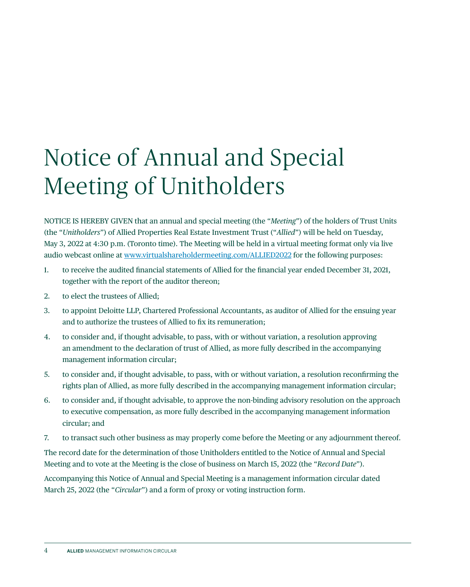## Notice of Annual and Special Meeting of Unitholders

NOTICE IS HEREBY GIVEN that an annual and special meeting (the "*Meeting*") of the holders of Trust Units (the "*Unitholders*") of Allied Properties Real Estate Investment Trust ("*Allied*") will be held on Tuesday, May 3, 2022 at 4:30 p.m. (Toronto time). The Meeting will be held in a virtual meeting format only via live audio webcast online at [www.virtualshareholdermeeting.com/ALLIED2022](https://east.virtualshareholdermeeting.com/vsm/web?pvskey=ALLIED2022) for the following purposes:

- 1. to receive the audited financial statements of Allied for the financial year ended December 31, 2021, together with the report of the auditor thereon;
- 2. to elect the trustees of Allied;
- 3. to appoint Deloitte LLP, Chartered Professional Accountants, as auditor of Allied for the ensuing year and to authorize the trustees of Allied to fix its remuneration;
- 4. to consider and, if thought advisable, to pass, with or without variation, a resolution approving an amendment to the declaration of trust of Allied, as more fully described in the accompanying management information circular;
- 5. to consider and, if thought advisable, to pass, with or without variation, a resolution reconfirming the rights plan of Allied, as more fully described in the accompanying management information circular;
- 6. to consider and, if thought advisable, to approve the non-binding advisory resolution on the approach to executive compensation, as more fully described in the accompanying management information circular; and
- 7. to transact such other business as may properly come before the Meeting or any adjournment thereof.

The record date for the determination of those Unitholders entitled to the Notice of Annual and Special Meeting and to vote at the Meeting is the close of business on March 15, 2022 (the "*Record Date*").

Accompanying this Notice of Annual and Special Meeting is a management information circular dated March 25, 2022 (the "*Circular*") and a form of proxy or voting instruction form.